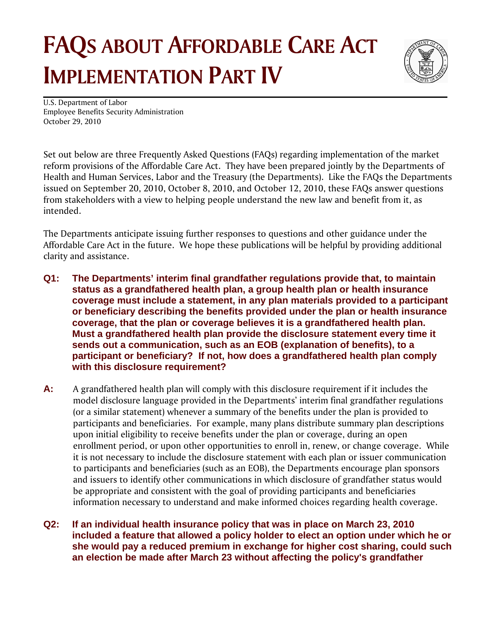## **FAQS ABOUT AFFORDABLE CARE ACT IMPLEMENTATION PART IV**



U.S. Department of Labor Employee Benefits Security Administration October 29, 2010

Set out below are three Frequently Asked Questions (FAQs) regarding implementation of the market reform provisions of the Affordable Care Act. They have been prepared jointly by the Departments of Health and Human Services, Labor and the Treasury (the Departments). Like the FAQs the Departments issued on September 20, 2010, October 8, 2010, and October 12, 2010, these FAQs answer questions from stakeholders with a view to helping people understand the new law and benefit from it, as intended.

The Departments anticipate issuing further responses to questions and other guidance under the Affordable Care Act in the future. We hope these publications will be helpful by providing additional clarity and assistance.

- **Q1: The Departments' interim final grandfather regulations provide that, to maintain status as a grandfathered health plan, a group health plan or health insurance coverage must include a statement, in any plan materials provided to a participant or beneficiary describing the benefits provided under the plan or health insurance coverage, that the plan or coverage believes it is a grandfathered health plan. Must a grandfathered health plan provide the disclosure statement every time it sends out a communication, such as an EOB (explanation of benefits), to a participant or beneficiary? If not, how does a grandfathered health plan comply with this disclosure requirement?**
- **A:** A grandfathered health plan will comply with this disclosure requirement if it includes the model disclosure language provided in the Departments' interim final grandfather regulations (or a similar statement) whenever a summary of the benefits under the plan is provided to participants and beneficiaries. For example, many plans distribute summary plan descriptions upon initial eligibility to receive benefits under the plan or coverage, during an open enrollment period, or upon other opportunities to enroll in, renew, or change coverage. While it is not necessary to include the disclosure statement with each plan or issuer communication to participants and beneficiaries (such as an EOB), the Departments encourage plan sponsors and issuers to identify other communications in which disclosure of grandfather status would be appropriate and consistent with the goal of providing participants and beneficiaries information necessary to understand and make informed choices regarding health coverage.

**Q2: If an individual health insurance policy that was in place on March 23, 2010 included a feature that allowed a policy holder to elect an option under which he or she would pay a reduced premium in exchange for higher cost sharing, could such an election be made after March 23 without affecting the policy's grandfather**